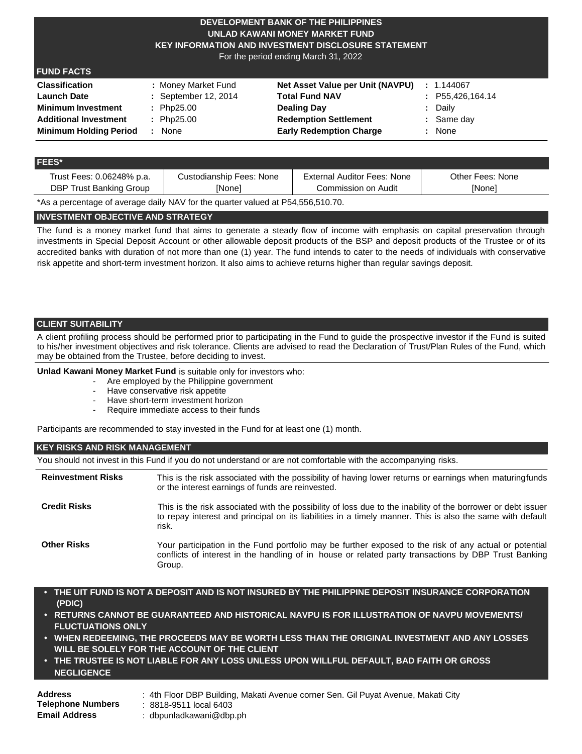### **DEVELOPMENT BANK OF THE PHILIPPINES UNLAD KAWANI MONEY MARKET FUND KEY INFORMATION AND INVESTMENT DISCLOSURE STATEMENT**

For the period ending March 31, 2022

# **FUND FACTS**

| <b>Classification</b>         | : Money Market Fund  | Net Asset Value per Unit (NAVPU) | : 1.144067       |
|-------------------------------|----------------------|----------------------------------|------------------|
| <b>Launch Date</b>            | : September 12, 2014 | <b>Total Fund NAV</b>            | : P55,426,164.14 |
| <b>Minimum Investment</b>     | $:$ Php25.00         | Dealing Day                      | : Daily          |
| <b>Additional Investment</b>  | : Php25.00           | <b>Redemption Settlement</b>     | $:$ Same day     |
| <b>Minimum Holding Period</b> | None                 | <b>Early Redemption Charge</b>   | : None           |

#### **FEES\***

| Trust Fees: 0.06248% p.a. | Custodianship Fees: None | External Auditor Fees: None | Other Fees: None |
|---------------------------|--------------------------|-----------------------------|------------------|
| DBP Trust Banking Group   | [None]                   | Commission on Audit         | <b>[None]</b>    |
|                           | .                        |                             |                  |

\*As a percentage of average daily NAV for the quarter valued at P54,556,510.70.

# **INVESTMENT OBJECTIVE AND STRATEGY**

The fund is a money market fund that aims to generate a steady flow of income with emphasis on capital preservation through investments in Special Deposit Account or other allowable deposit products of the BSP and deposit products of the Trustee or of its accredited banks with duration of not more than one (1) year. The fund intends to cater to the needs of individuals with conservative risk appetite and short-term investment horizon. It also aims to achieve returns higher than regular savings deposit.

# **CLIENT SUITABILITY**

A client profiling process should be performed prior to participating in the Fund to guide the prospective investor if the Fund is suited to his/her investment objectives and risk tolerance. Clients are advised to read the Declaration of Trust/Plan Rules of the Fund, which may be obtained from the Trustee, before deciding to invest.

**Unlad Kawani Money Market Fund** is suitable only for investors who:

- Are employed by the Philippine government
- Have conservative risk appetite
- Have short-term investment horizon
- Require immediate access to their funds

Participants are recommended to stay invested in the Fund for at least one (1) month.

# **KEY RISKS AND RISK MANAGEMENT**

You should not invest in this Fund if you do not understand or are not comfortable with the accompanying risks.

| <b>Reinvestment Risks</b> | This is the risk associated with the possibility of having lower returns or earnings when maturingfunds<br>or the interest earnings of funds are reinvested.                                                                       |
|---------------------------|------------------------------------------------------------------------------------------------------------------------------------------------------------------------------------------------------------------------------------|
| <b>Credit Risks</b>       | This is the risk associated with the possibility of loss due to the inability of the borrower or debt issuer<br>to repay interest and principal on its liabilities in a timely manner. This is also the same with default<br>risk. |
| <b>Other Risks</b>        | Your participation in the Fund portfolio may be further exposed to the risk of any actual or potential<br>conflicts of interest in the handling of in house or related party transactions by DBP Trust Banking<br>Group.           |

- **• THE UIT FUND IS NOT A DEPOSIT AND IS NOT INSURED BY THE PHILIPPINE DEPOSIT INSURANCE CORPORATION (PDIC)**
- **• RETURNS CANNOT BE GUARANTEED AND HISTORICAL NAVPU IS FOR ILLUSTRATION OF NAVPU MOVEMENTS/ FLUCTUATIONS ONLY**
- **• WHEN REDEEMING, THE PROCEEDS MAY BE WORTH LESS THAN THE ORIGINAL INVESTMENT AND ANY LOSSES WILL BE SOLELY FOR THE ACCOUNT OF THE CLIENT**
- **• THE TRUSTEE IS NOT LIABLE FOR ANY LOSS UNLESS UPON WILLFUL DEFAULT, BAD FAITH OR GROSS NEGLIGENCE**

| <b>Address</b>           | :4th Floor DBP Building, Makati Avenue corner Sen. Gil Puyat Avenue, Makati City |
|--------------------------|----------------------------------------------------------------------------------|
| <b>Telephone Numbers</b> | : 8818-9511 local 6403                                                           |
| <b>Email Address</b>     | dbpunladkawani@dbp.ph =                                                          |